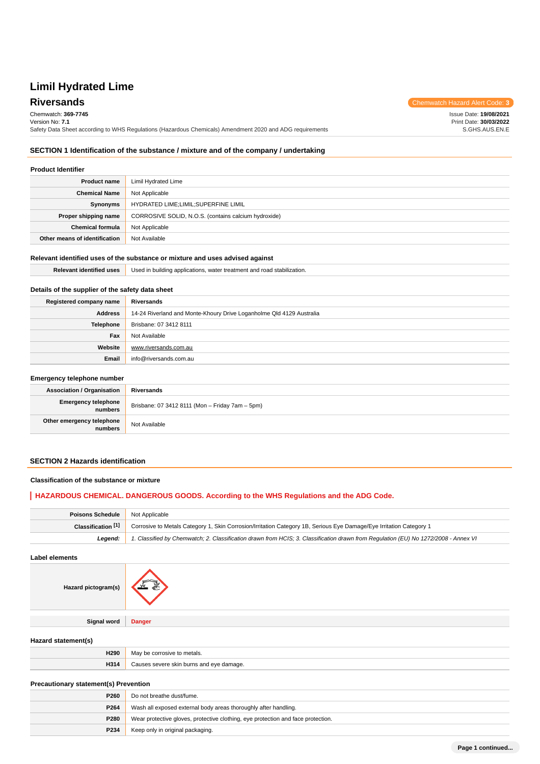**Riversands** Chemwatch Hazard Alert Code: 3 Issue Date: **19/08/2021**

Print Date: **30/03/2022**

Chemwatch: **369-7745**

Version No: **7.1** Safety Data Sheet according to WHS Regulations (Hazardous Chemicals) Amendment 2020 and ADG requirements S.GHS.AUS.EN.E

### **SECTION 1 Identification of the substance / mixture and of the company / undertaking**

#### **Product Identifier**

L

| <b>Product name</b>           | Limil Hydrated Lime                                  |  |
|-------------------------------|------------------------------------------------------|--|
| <b>Chemical Name</b>          | Not Applicable                                       |  |
| Synonyms                      | HYDRATED LIME;LIMIL;SUPERFINE LIMIL                  |  |
| Proper shipping name          | CORROSIVE SOLID, N.O.S. (contains calcium hydroxide) |  |
| <b>Chemical formula</b>       | Not Applicable                                       |  |
| Other means of identification | Not Available                                        |  |

# **Relevant identified uses of the substance or mixture and uses advised against**

| ntified uses | Used in building applications.<br>bilization.<br>. water treatment and road |  |
|--------------|-----------------------------------------------------------------------------|--|
|              |                                                                             |  |

### **Details of the supplier of the safety data sheet**

| Registered company name | Riversands                                                           |
|-------------------------|----------------------------------------------------------------------|
| Address                 | 14-24 Riverland and Monte-Khoury Drive Loganholme Qld 4129 Australia |
| <b>Telephone</b>        | Brisbane: 07 3412 8111                                               |
| Fax                     | Not Available                                                        |
| Website                 | www.riversands.com.au                                                |
| Email                   | info@riversands.com.au                                               |

#### **Emergency telephone number**

| Eniorgonoy tolophone number          |                                                 |  |
|--------------------------------------|-------------------------------------------------|--|
| <b>Association / Organisation</b>    | Riversands                                      |  |
| Emergency telephone<br>numbers       | Brisbane: 07 3412 8111 (Mon - Friday 7am - 5pm) |  |
| Other emergency telephone<br>numbers | Not Available                                   |  |

### **SECTION 2 Hazards identification**

#### **Classification of the substance or mixture**

### **HAZARDOUS CHEMICAL. DANGEROUS GOODS. According to the WHS Regulations and the ADG Code.**

| Poisons Schedule   | Not Applicable                                                                                                                      |  |
|--------------------|-------------------------------------------------------------------------------------------------------------------------------------|--|
| Classification [1] | Corrosive to Metals Category 1, Skin Corrosion/Irritation Category 1B, Serious Eye Damage/Eye Irritation Category 1                 |  |
| Leaend:            | 1. Classified by Chemwatch; 2. Classification drawn from HCIS; 3. Classification drawn from Requlation (EU) No 1272/2008 - Annex VI |  |

**Label elements**

| Hazard pictogram(s) |               |
|---------------------|---------------|
|                     |               |
| <b>Signal word</b>  | <b>Danger</b> |
|                     |               |

#### **Hazard statement(s)**

| H290 | May be<br>corrosive<br>metals.         |
|------|----------------------------------------|
| H314 | t eve damage.<br>COVOTO<br>ı burns and |

**Precautionary statement(s) Prevention**

| P <sub>260</sub> | Do not breathe dust/fume.                                                        |  |
|------------------|----------------------------------------------------------------------------------|--|
| P264             | Wash all exposed external body areas thoroughly after handling.                  |  |
| P280             | Wear protective gloves, protective clothing, eye protection and face protection. |  |
| P234             | Keep only in original packaging.                                                 |  |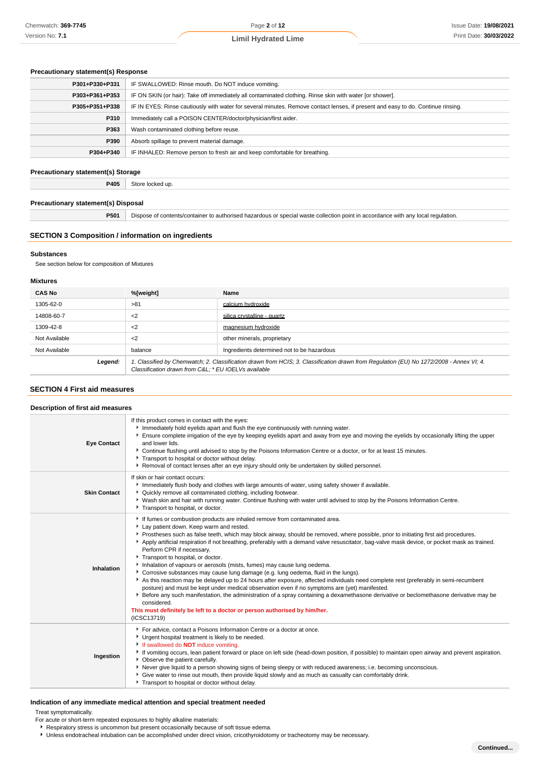#### **Precautionary statement(s) Response**

| P301+P330+P331 | IF SWALLOWED: Rinse mouth. Do NOT induce vomiting.                                                                               |  |  |
|----------------|----------------------------------------------------------------------------------------------------------------------------------|--|--|
| P303+P361+P353 | IF ON SKIN (or hair): Take off immediately all contaminated clothing. Rinse skin with water [or shower].                         |  |  |
| P305+P351+P338 | IF IN EYES: Rinse cautiously with water for several minutes. Remove contact lenses, if present and easy to do. Continue rinsing. |  |  |
| P310           | Immediately call a POISON CENTER/doctor/physician/first aider.                                                                   |  |  |
| P363           | Wash contaminated clothing before reuse.                                                                                         |  |  |
| P390           | Absorb spillage to prevent material damage.                                                                                      |  |  |
| P304+P340      | IF INHALED: Remove person to fresh air and keep comfortable for breathing.                                                       |  |  |

#### **Precautionary statement(s) Storage**

**P405** Store locked up.

### **Precautionary statement(s) Disposal**

**P501** Dispose of contents/container to authorised hazardous or special waste collection point in accordance with any local regulation.

# **SECTION 3 Composition / information on ingredients**

#### **Substances**

See section below for composition of Mixtures

#### **Mixtures**

| <b>CAS No</b> | %[weight]                                            | Name                                                                                                                                    |
|---------------|------------------------------------------------------|-----------------------------------------------------------------------------------------------------------------------------------------|
| 1305-62-0     | >81                                                  | calcium hydroxide                                                                                                                       |
| 14808-60-7    | $<$ 2                                                | silica crystalline - quartz                                                                                                             |
| 1309-42-8     | $<$ 2                                                | magnesium hydroxide                                                                                                                     |
| Not Available | $<$ 2                                                | other minerals, proprietary                                                                                                             |
| Not Available | balance                                              | Ingredients determined not to be hazardous                                                                                              |
| Legend:       | Classification drawn from C&L: * EU IOELVs available | 1. Classified by Chemwatch; 2. Classification drawn from HCIS; 3. Classification drawn from Requlation (EU) No 1272/2008 - Annex VI; 4. |

#### **SECTION 4 First aid measures**

| Description of first aid measures |                                                                                                                                                                                                                                                                                                                                                                                                                                                                                                                                                                                                                                                                                                                                                                                                                                                                                                                                                                                                                                                                                                                                                   |  |  |  |
|-----------------------------------|---------------------------------------------------------------------------------------------------------------------------------------------------------------------------------------------------------------------------------------------------------------------------------------------------------------------------------------------------------------------------------------------------------------------------------------------------------------------------------------------------------------------------------------------------------------------------------------------------------------------------------------------------------------------------------------------------------------------------------------------------------------------------------------------------------------------------------------------------------------------------------------------------------------------------------------------------------------------------------------------------------------------------------------------------------------------------------------------------------------------------------------------------|--|--|--|
| <b>Eye Contact</b>                | If this product comes in contact with the eyes:<br>Immediately hold eyelids apart and flush the eye continuously with running water.<br>Ensure complete irrigation of the eye by keeping eyelids apart and away from eye and moving the eyelids by occasionally lifting the upper<br>and lower lids.<br>▶ Continue flushing until advised to stop by the Poisons Information Centre or a doctor, or for at least 15 minutes.<br>Transport to hospital or doctor without delay.<br>▶ Removal of contact lenses after an eye injury should only be undertaken by skilled personnel.                                                                                                                                                                                                                                                                                                                                                                                                                                                                                                                                                                 |  |  |  |
| <b>Skin Contact</b>               | If skin or hair contact occurs:<br>Immediately flush body and clothes with large amounts of water, using safety shower if available.<br>• Quickly remove all contaminated clothing, including footwear.<br>▶ Wash skin and hair with running water. Continue flushing with water until advised to stop by the Poisons Information Centre.<br>Transport to hospital, or doctor.                                                                                                                                                                                                                                                                                                                                                                                                                                                                                                                                                                                                                                                                                                                                                                    |  |  |  |
| Inhalation                        | If fumes or combustion products are inhaled remove from contaminated area.<br>Lay patient down. Keep warm and rested.<br>▶ Prostheses such as false teeth, which may block airway, should be removed, where possible, prior to initiating first aid procedures.<br>Apply artificial respiration if not breathing, preferably with a demand valve resuscitator, bag-valve mask device, or pocket mask as trained.<br>Perform CPR if necessary.<br>Transport to hospital, or doctor.<br>Inhalation of vapours or aerosols (mists, fumes) may cause lung oedema.<br>Corrosive substances may cause lung damage (e.g. lung oedema, fluid in the lungs).<br>As this reaction may be delayed up to 24 hours after exposure, affected individuals need complete rest (preferably in semi-recumbent<br>posture) and must be kept under medical observation even if no symptoms are (yet) manifested.<br>Effore any such manifestation, the administration of a spray containing a dexamethasone derivative or beclomethasone derivative may be<br>considered.<br>This must definitely be left to a doctor or person authorised by him/her.<br>(ICSC13719) |  |  |  |
| Ingestion                         | For advice, contact a Poisons Information Centre or a doctor at once.<br>• Urgent hospital treatment is likely to be needed.<br>If swallowed do <b>NOT</b> induce vomiting.<br>If vomiting occurs, lean patient forward or place on left side (head-down position, if possible) to maintain open airway and prevent aspiration.<br>• Observe the patient carefully.<br>Never give liquid to a person showing signs of being sleepy or with reduced awareness; i.e. becoming unconscious.<br>• Give water to rinse out mouth, then provide liquid slowly and as much as casualty can comfortably drink.<br>Transport to hospital or doctor without delay.                                                                                                                                                                                                                                                                                                                                                                                                                                                                                          |  |  |  |

#### **Indication of any immediate medical attention and special treatment needed**

Treat symptomatically.

- For acute or short-term repeated exposures to highly alkaline materials:
- Respiratory stress is uncommon but present occasionally because of soft tissue edema.
- Unless endotracheal intubation can be accomplished under direct vision, cricothyroidotomy or tracheotomy may be necessary.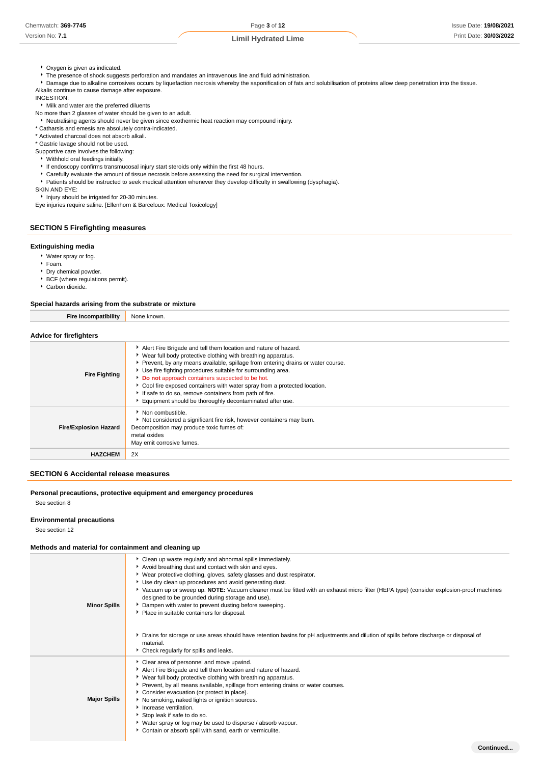Version No: **7.1**

#### **Limil Hydrated Lime**

- Oxygen is given as indicated.
- **F** The presence of shock suggests perforation and mandates an intravenous line and fluid administration.
- Damage due to alkaline corrosives occurs by liquefaction necrosis whereby the saponification of fats and solubilisation of proteins allow deep penetration into the tissue.
- Alkalis continue to cause damage after exposure.

INGESTION:

- Milk and water are the preferred diluents
- No more than 2 glasses of water should be given to an adult.
- Neutralising agents should never be given since exothermic heat reaction may compound injury.
- \* Catharsis and emesis are absolutely contra-indicated.
- \* Activated charcoal does not absorb alkali.

\* Gastric lavage should not be used.

- Supportive care involves the following:
- Withhold oral feedings initially.
- If endoscopy confirms transmucosal injury start steroids only within the first 48 hours.
- Carefully evaluate the amount of tissue necrosis before assessing the need for surgical intervention.
- Patients should be instructed to seek medical attention whenever they develop difficulty in swallowing (dysphagia).
- SKIN AND EYE:

Injury should be irrigated for 20-30 minutes.

Eye injuries require saline. [Ellenhorn & Barceloux: Medical Toxicology]

#### **SECTION 5 Firefighting measures**

#### **Extinguishing media**

- Water spray or fog.
- Foam.
- **Dry chemical powder.**
- BCF (where regulations permit).
- Carbon dioxide.

#### **Special hazards arising from the substrate or mixture**

| Fire<br>.<br>ombatibilit\ | . .<br>. KNOW"<br>⊣NO⊏<br>∙ JWN. |
|---------------------------|----------------------------------|
|                           |                                  |

#### **Advice for firefighters**

| <b>Fire Fighting</b>         | Alert Fire Brigade and tell them location and nature of hazard.<br>• Wear full body protective clothing with breathing apparatus.<br>Prevent, by any means available, spillage from entering drains or water course.<br>Use fire fighting procedures suitable for surrounding area.<br>Do not approach containers suspected to be hot.<br>Cool fire exposed containers with water spray from a protected location.<br>If safe to do so, remove containers from path of fire.<br>Equipment should be thoroughly decontaminated after use. |
|------------------------------|------------------------------------------------------------------------------------------------------------------------------------------------------------------------------------------------------------------------------------------------------------------------------------------------------------------------------------------------------------------------------------------------------------------------------------------------------------------------------------------------------------------------------------------|
| <b>Fire/Explosion Hazard</b> | • Non combustible.<br>Not considered a significant fire risk, however containers may burn.<br>Decomposition may produce toxic fumes of:<br>metal oxides<br>May emit corrosive fumes.                                                                                                                                                                                                                                                                                                                                                     |
| <b>HAZCHEM</b>               | 2X                                                                                                                                                                                                                                                                                                                                                                                                                                                                                                                                       |

### **SECTION 6 Accidental release measures**

**Personal precautions, protective equipment and emergency procedures**

See section 8

#### **Environmental precautions**

See section 12

#### **Methods and material for containment and cleaning up**

| <b>Minor Spills</b> | Clean up waste regularly and abnormal spills immediately.<br>Avoid breathing dust and contact with skin and eyes.<br>▶ Wear protective clothing, gloves, safety glasses and dust respirator.<br>Use dry clean up procedures and avoid generating dust.<br>▶ Vacuum up or sweep up. NOTE: Vacuum cleaner must be fitted with an exhaust micro filter (HEPA type) (consider explosion-proof machines<br>designed to be grounded during storage and use).<br>Dampen with water to prevent dusting before sweeping.<br>• Place in suitable containers for disposal.<br>▶ Drains for storage or use areas should have retention basins for pH adjustments and dilution of spills before discharge or disposal of<br>material.<br>Check regularly for spills and leaks. |
|---------------------|-------------------------------------------------------------------------------------------------------------------------------------------------------------------------------------------------------------------------------------------------------------------------------------------------------------------------------------------------------------------------------------------------------------------------------------------------------------------------------------------------------------------------------------------------------------------------------------------------------------------------------------------------------------------------------------------------------------------------------------------------------------------|
| <b>Major Spills</b> | Clear area of personnel and move upwind.<br>Alert Fire Brigade and tell them location and nature of hazard.<br>▶ Wear full body protective clothing with breathing apparatus.<br>Prevent, by all means available, spillage from entering drains or water courses.<br>Consider evacuation (or protect in place).<br>No smoking, naked lights or ignition sources.<br>Increase ventilation.<br>Stop leak if safe to do so.<br>▶ Water spray or fog may be used to disperse / absorb vapour.<br>Contain or absorb spill with sand, earth or vermiculite.                                                                                                                                                                                                             |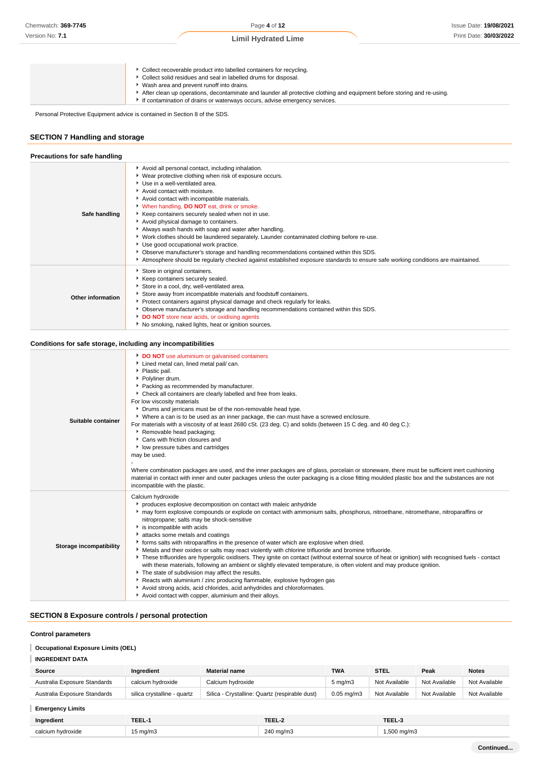Collect solid residues and seal in labelled drums for disposal.

- Wash area and prevent runoff into drains.
- After clean up operations, decontaminate and launder all protective clothing and equipment before storing and re-using.
- If contamination of drains or waterways occurs, advise emergency services.

Personal Protective Equipment advice is contained in Section 8 of the SDS.

### **SECTION 7 Handling and storage**

| Precautions for safe handling |                                                                                                                                                                                                                                                                                                                                                                                                                                                                                                                                                                                                                                                                                                                                                                                                                 |
|-------------------------------|-----------------------------------------------------------------------------------------------------------------------------------------------------------------------------------------------------------------------------------------------------------------------------------------------------------------------------------------------------------------------------------------------------------------------------------------------------------------------------------------------------------------------------------------------------------------------------------------------------------------------------------------------------------------------------------------------------------------------------------------------------------------------------------------------------------------|
| Safe handling                 | Avoid all personal contact, including inhalation.<br>• Wear protective clothing when risk of exposure occurs.<br>Use in a well-ventilated area.<br>Avoid contact with moisture.<br>Avoid contact with incompatible materials.<br>V When handling, <b>DO NOT</b> eat, drink or smoke.<br>Keep containers securely sealed when not in use.<br>Avoid physical damage to containers.<br>Always wash hands with soap and water after handling.<br>▶ Work clothes should be laundered separately. Launder contaminated clothing before re-use.<br>Use good occupational work practice.<br>▶ Observe manufacturer's storage and handling recommendations contained within this SDS.<br>Atmosphere should be regularly checked against established exposure standards to ensure safe working conditions are maintained. |
| <b>Other information</b>      | Store in original containers.<br>Keep containers securely sealed.<br>Store in a cool, dry, well-ventilated area.<br>Store away from incompatible materials and foodstuff containers.<br>▶ Protect containers against physical damage and check regularly for leaks.<br>▶ Observe manufacturer's storage and handling recommendations contained within this SDS.<br><b>DO NOT</b> store near acids, or oxidising agents<br>No smoking, naked lights, heat or ignition sources.                                                                                                                                                                                                                                                                                                                                   |

#### **Conditions for safe storage, including any incompatibilities**

| Suitable container             | DO NOT use aluminium or galvanised containers<br>Lined metal can, lined metal pail/ can.<br>• Plastic pail.<br>Polyliner drum.<br>Packing as recommended by manufacturer.<br>• Check all containers are clearly labelled and free from leaks.<br>For low viscosity materials<br>• Drums and jerricans must be of the non-removable head type.<br>▶ Where a can is to be used as an inner package, the can must have a screwed enclosure.<br>For materials with a viscosity of at least 2680 cSt. (23 deg. C) and solids (between 15 C deg. and 40 deg C.):<br>Removable head packaging;<br>▶ Cans with friction closures and<br>low pressure tubes and cartridges<br>may be used.<br>Where combination packages are used, and the inner packages are of glass, porcelain or stoneware, there must be sufficient inert cushioning<br>material in contact with inner and outer packages unless the outer packaging is a close fitting moulded plastic box and the substances are not<br>incompatible with the plastic.                                                                                        |
|--------------------------------|-------------------------------------------------------------------------------------------------------------------------------------------------------------------------------------------------------------------------------------------------------------------------------------------------------------------------------------------------------------------------------------------------------------------------------------------------------------------------------------------------------------------------------------------------------------------------------------------------------------------------------------------------------------------------------------------------------------------------------------------------------------------------------------------------------------------------------------------------------------------------------------------------------------------------------------------------------------------------------------------------------------------------------------------------------------------------------------------------------------|
| <b>Storage incompatibility</b> | Calcium hydroxide<br>produces explosive decomposition on contact with maleic anhydride<br>▶ may form explosive compounds or explode on contact with ammonium salts, phosphorus, nitroethane, nitromethane, nitroparaffins or<br>nitropropane; salts may be shock-sensitive<br>is incompatible with acids<br>Lattacks some metals and coatings<br>• forms salts with nitroparaffins in the presence of water which are explosive when dried.<br>Metals and their oxides or salts may react violently with chlorine trifluoride and bromine trifluoride.<br>These trifluorides are hypergolic oxidisers. They ignite on contact (without external source of heat or ignition) with recognised fuels - contact<br>with these materials, following an ambient or slightly elevated temperature, is often violent and may produce ignition.<br>The state of subdivision may affect the results.<br>Reacts with aluminium / zinc producing flammable, explosive hydrogen gas<br>Avoid strong acids, acid chlorides, acid anhydrides and chloroformates.<br>Avoid contact with copper, aluminium and their alloys. |

### **SECTION 8 Exposure controls / personal protection**

#### **Control parameters**

#### I **Occupational Exposure Limits (OEL)**

### **INGREDIENT DATA**

| Source                       | Ingredient                  | <b>Material name</b>                           | <b>TWA</b>       | <b>STEL</b>   | Peak          | <b>Notes</b>  |
|------------------------------|-----------------------------|------------------------------------------------|------------------|---------------|---------------|---------------|
| Australia Exposure Standards | calcium hydroxide           | Calcium hvdroxide                              | $5 \text{ mg/m}$ | Not Available | Not Available | Not Available |
| Australia Exposure Standards | silica crystalline - quartz | Silica - Crystalline: Quartz (respirable dust) | $0.05$ ma/m $3$  | Not Available | Not Available | Not Available |

#### **Emergency Limits**

| Ingredient        | TEEL-\             | TEEL-2    | TEEL-3                |
|-------------------|--------------------|-----------|-----------------------|
| calcium hydroxide | $5 \text{ ma/m}$ 3 | 240 mg/m3 | $.500 \text{ ma/m}$ 3 |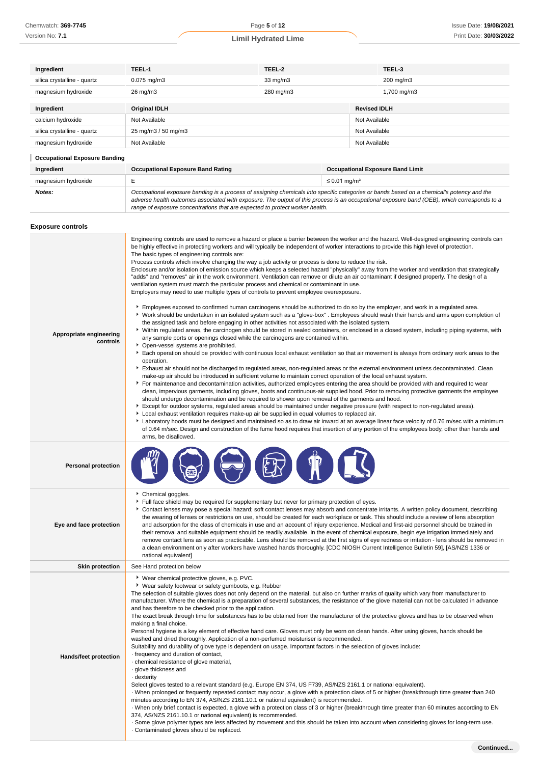| Chemwatch: 369-7745 |  |
|---------------------|--|
|---------------------|--|

Version No: **7.1**

**Ingredient TEEL-1 TEEL-2 TEEL-3**

**Limil Hydrated Lime**

| silica crystalline - quartz          | 0.075 mg/m3                                                                                                                                                                                                                                                                                                                                                                                                                                                                                                                                                                                                                                                                                                                                                                                                                                                                                                                                                                                                                                                                                                                                                                                                                                                                                                                                                                                                                                                                                                                                                                                                                                                                                                                                                                                                                                                                                               | 33 mg/m3                                                                                                                                                                                                                                                                                                                                                                                                                                                                                                                                                                                                                                                                                                                                                                                                                                                                                                                                                                                                                                                                                                                                                                                                                                                                                                                                                                                                                                                                                                                                                                                                                                                                                                                                                                                                                                                                                                                                                                                                                                                                                                                                                                                                                                                                                                                                                                                                                                                                                                                                                                                                                                                                                                                                                                                                                                               | 200 mg/m3                               |  |
|--------------------------------------|-----------------------------------------------------------------------------------------------------------------------------------------------------------------------------------------------------------------------------------------------------------------------------------------------------------------------------------------------------------------------------------------------------------------------------------------------------------------------------------------------------------------------------------------------------------------------------------------------------------------------------------------------------------------------------------------------------------------------------------------------------------------------------------------------------------------------------------------------------------------------------------------------------------------------------------------------------------------------------------------------------------------------------------------------------------------------------------------------------------------------------------------------------------------------------------------------------------------------------------------------------------------------------------------------------------------------------------------------------------------------------------------------------------------------------------------------------------------------------------------------------------------------------------------------------------------------------------------------------------------------------------------------------------------------------------------------------------------------------------------------------------------------------------------------------------------------------------------------------------------------------------------------------------|--------------------------------------------------------------------------------------------------------------------------------------------------------------------------------------------------------------------------------------------------------------------------------------------------------------------------------------------------------------------------------------------------------------------------------------------------------------------------------------------------------------------------------------------------------------------------------------------------------------------------------------------------------------------------------------------------------------------------------------------------------------------------------------------------------------------------------------------------------------------------------------------------------------------------------------------------------------------------------------------------------------------------------------------------------------------------------------------------------------------------------------------------------------------------------------------------------------------------------------------------------------------------------------------------------------------------------------------------------------------------------------------------------------------------------------------------------------------------------------------------------------------------------------------------------------------------------------------------------------------------------------------------------------------------------------------------------------------------------------------------------------------------------------------------------------------------------------------------------------------------------------------------------------------------------------------------------------------------------------------------------------------------------------------------------------------------------------------------------------------------------------------------------------------------------------------------------------------------------------------------------------------------------------------------------------------------------------------------------------------------------------------------------------------------------------------------------------------------------------------------------------------------------------------------------------------------------------------------------------------------------------------------------------------------------------------------------------------------------------------------------------------------------------------------------------------------------------------------------|-----------------------------------------|--|
| magnesium hydroxide                  | 26 mg/m3                                                                                                                                                                                                                                                                                                                                                                                                                                                                                                                                                                                                                                                                                                                                                                                                                                                                                                                                                                                                                                                                                                                                                                                                                                                                                                                                                                                                                                                                                                                                                                                                                                                                                                                                                                                                                                                                                                  | 280 mg/m3                                                                                                                                                                                                                                                                                                                                                                                                                                                                                                                                                                                                                                                                                                                                                                                                                                                                                                                                                                                                                                                                                                                                                                                                                                                                                                                                                                                                                                                                                                                                                                                                                                                                                                                                                                                                                                                                                                                                                                                                                                                                                                                                                                                                                                                                                                                                                                                                                                                                                                                                                                                                                                                                                                                                                                                                                                              | 1,700 mg/m3                             |  |
| Ingredient                           | Original IDLH                                                                                                                                                                                                                                                                                                                                                                                                                                                                                                                                                                                                                                                                                                                                                                                                                                                                                                                                                                                                                                                                                                                                                                                                                                                                                                                                                                                                                                                                                                                                                                                                                                                                                                                                                                                                                                                                                             |                                                                                                                                                                                                                                                                                                                                                                                                                                                                                                                                                                                                                                                                                                                                                                                                                                                                                                                                                                                                                                                                                                                                                                                                                                                                                                                                                                                                                                                                                                                                                                                                                                                                                                                                                                                                                                                                                                                                                                                                                                                                                                                                                                                                                                                                                                                                                                                                                                                                                                                                                                                                                                                                                                                                                                                                                                                        | <b>Revised IDLH</b>                     |  |
| calcium hydroxide                    | Not Available                                                                                                                                                                                                                                                                                                                                                                                                                                                                                                                                                                                                                                                                                                                                                                                                                                                                                                                                                                                                                                                                                                                                                                                                                                                                                                                                                                                                                                                                                                                                                                                                                                                                                                                                                                                                                                                                                             |                                                                                                                                                                                                                                                                                                                                                                                                                                                                                                                                                                                                                                                                                                                                                                                                                                                                                                                                                                                                                                                                                                                                                                                                                                                                                                                                                                                                                                                                                                                                                                                                                                                                                                                                                                                                                                                                                                                                                                                                                                                                                                                                                                                                                                                                                                                                                                                                                                                                                                                                                                                                                                                                                                                                                                                                                                                        | Not Available                           |  |
| silica crystalline - quartz          | 25 mg/m3 / 50 mg/m3                                                                                                                                                                                                                                                                                                                                                                                                                                                                                                                                                                                                                                                                                                                                                                                                                                                                                                                                                                                                                                                                                                                                                                                                                                                                                                                                                                                                                                                                                                                                                                                                                                                                                                                                                                                                                                                                                       |                                                                                                                                                                                                                                                                                                                                                                                                                                                                                                                                                                                                                                                                                                                                                                                                                                                                                                                                                                                                                                                                                                                                                                                                                                                                                                                                                                                                                                                                                                                                                                                                                                                                                                                                                                                                                                                                                                                                                                                                                                                                                                                                                                                                                                                                                                                                                                                                                                                                                                                                                                                                                                                                                                                                                                                                                                                        | Not Available                           |  |
| magnesium hydroxide                  | Not Available                                                                                                                                                                                                                                                                                                                                                                                                                                                                                                                                                                                                                                                                                                                                                                                                                                                                                                                                                                                                                                                                                                                                                                                                                                                                                                                                                                                                                                                                                                                                                                                                                                                                                                                                                                                                                                                                                             |                                                                                                                                                                                                                                                                                                                                                                                                                                                                                                                                                                                                                                                                                                                                                                                                                                                                                                                                                                                                                                                                                                                                                                                                                                                                                                                                                                                                                                                                                                                                                                                                                                                                                                                                                                                                                                                                                                                                                                                                                                                                                                                                                                                                                                                                                                                                                                                                                                                                                                                                                                                                                                                                                                                                                                                                                                                        | Not Available                           |  |
|                                      |                                                                                                                                                                                                                                                                                                                                                                                                                                                                                                                                                                                                                                                                                                                                                                                                                                                                                                                                                                                                                                                                                                                                                                                                                                                                                                                                                                                                                                                                                                                                                                                                                                                                                                                                                                                                                                                                                                           |                                                                                                                                                                                                                                                                                                                                                                                                                                                                                                                                                                                                                                                                                                                                                                                                                                                                                                                                                                                                                                                                                                                                                                                                                                                                                                                                                                                                                                                                                                                                                                                                                                                                                                                                                                                                                                                                                                                                                                                                                                                                                                                                                                                                                                                                                                                                                                                                                                                                                                                                                                                                                                                                                                                                                                                                                                                        |                                         |  |
| <b>Occupational Exposure Banding</b> |                                                                                                                                                                                                                                                                                                                                                                                                                                                                                                                                                                                                                                                                                                                                                                                                                                                                                                                                                                                                                                                                                                                                                                                                                                                                                                                                                                                                                                                                                                                                                                                                                                                                                                                                                                                                                                                                                                           |                                                                                                                                                                                                                                                                                                                                                                                                                                                                                                                                                                                                                                                                                                                                                                                                                                                                                                                                                                                                                                                                                                                                                                                                                                                                                                                                                                                                                                                                                                                                                                                                                                                                                                                                                                                                                                                                                                                                                                                                                                                                                                                                                                                                                                                                                                                                                                                                                                                                                                                                                                                                                                                                                                                                                                                                                                                        |                                         |  |
| Ingredient                           | <b>Occupational Exposure Band Rating</b>                                                                                                                                                                                                                                                                                                                                                                                                                                                                                                                                                                                                                                                                                                                                                                                                                                                                                                                                                                                                                                                                                                                                                                                                                                                                                                                                                                                                                                                                                                                                                                                                                                                                                                                                                                                                                                                                  |                                                                                                                                                                                                                                                                                                                                                                                                                                                                                                                                                                                                                                                                                                                                                                                                                                                                                                                                                                                                                                                                                                                                                                                                                                                                                                                                                                                                                                                                                                                                                                                                                                                                                                                                                                                                                                                                                                                                                                                                                                                                                                                                                                                                                                                                                                                                                                                                                                                                                                                                                                                                                                                                                                                                                                                                                                                        | <b>Occupational Exposure Band Limit</b> |  |
| magnesium hydroxide<br>Notes:        | Е                                                                                                                                                                                                                                                                                                                                                                                                                                                                                                                                                                                                                                                                                                                                                                                                                                                                                                                                                                                                                                                                                                                                                                                                                                                                                                                                                                                                                                                                                                                                                                                                                                                                                                                                                                                                                                                                                                         | Occupational exposure banding is a process of assigning chemicals into specific categories or bands based on a chemical's potency and the<br>adverse health outcomes associated with exposure. The output of this process is an occupational exposure band (OEB), which corresponds to a<br>range of exposure concentrations that are expected to protect worker health.                                                                                                                                                                                                                                                                                                                                                                                                                                                                                                                                                                                                                                                                                                                                                                                                                                                                                                                                                                                                                                                                                                                                                                                                                                                                                                                                                                                                                                                                                                                                                                                                                                                                                                                                                                                                                                                                                                                                                                                                                                                                                                                                                                                                                                                                                                                                                                                                                                                                               | $\leq$ 0.01 mg/m <sup>3</sup>           |  |
| <b>Exposure controls</b>             |                                                                                                                                                                                                                                                                                                                                                                                                                                                                                                                                                                                                                                                                                                                                                                                                                                                                                                                                                                                                                                                                                                                                                                                                                                                                                                                                                                                                                                                                                                                                                                                                                                                                                                                                                                                                                                                                                                           |                                                                                                                                                                                                                                                                                                                                                                                                                                                                                                                                                                                                                                                                                                                                                                                                                                                                                                                                                                                                                                                                                                                                                                                                                                                                                                                                                                                                                                                                                                                                                                                                                                                                                                                                                                                                                                                                                                                                                                                                                                                                                                                                                                                                                                                                                                                                                                                                                                                                                                                                                                                                                                                                                                                                                                                                                                                        |                                         |  |
| Appropriate engineering<br>controls  | The basic types of engineering controls are:<br>• Open-vessel systems are prohibited.<br>operation.<br>arms, be disallowed.                                                                                                                                                                                                                                                                                                                                                                                                                                                                                                                                                                                                                                                                                                                                                                                                                                                                                                                                                                                                                                                                                                                                                                                                                                                                                                                                                                                                                                                                                                                                                                                                                                                                                                                                                                               | Engineering controls are used to remove a hazard or place a barrier between the worker and the hazard. Well-designed engineering controls can<br>be highly effective in protecting workers and will typically be independent of worker interactions to provide this high level of protection.<br>Process controls which involve changing the way a job activity or process is done to reduce the risk.<br>Enclosure and/or isolation of emission source which keeps a selected hazard "physically" away from the worker and ventilation that strategically<br>"adds" and "removes" air in the work environment. Ventilation can remove or dilute an air contaminant if designed properly. The design of a<br>ventilation system must match the particular process and chemical or contaminant in use.<br>Employers may need to use multiple types of controls to prevent employee overexposure.<br>Employees exposed to confirmed human carcinogens should be authorized to do so by the employer, and work in a regulated area.<br>▶ Work should be undertaken in an isolated system such as a "glove-box". Employees should wash their hands and arms upon completion of<br>the assigned task and before engaging in other activities not associated with the isolated system.<br>▶ Within regulated areas, the carcinogen should be stored in sealed containers, or enclosed in a closed system, including piping systems, with<br>any sample ports or openings closed while the carcinogens are contained within.<br>Each operation should be provided with continuous local exhaust ventilation so that air movement is always from ordinary work areas to the<br>Exhaust air should not be discharged to regulated areas, non-regulated areas or the external environment unless decontaminated. Clean<br>make-up air should be introduced in sufficient volume to maintain correct operation of the local exhaust system.<br>For maintenance and decontamination activities, authorized employees entering the area should be provided with and required to wear<br>clean, impervious garments, including gloves, boots and continuous-air supplied hood. Prior to removing protective garments the employee<br>should undergo decontamination and be required to shower upon removal of the garments and hood.<br>Except for outdoor systems, regulated areas should be maintained under negative pressure (with respect to non-regulated areas).<br>▶ Local exhaust ventilation requires make-up air be supplied in equal volumes to replaced air.<br>Laboratory hoods must be designed and maintained so as to draw air inward at an average linear face velocity of 0.76 m/sec with a minimum<br>of 0.64 m/sec. Design and construction of the fume hood requires that insertion of any portion of the employees body, other than hands and |                                         |  |
| <b>Personal protection</b>           |                                                                                                                                                                                                                                                                                                                                                                                                                                                                                                                                                                                                                                                                                                                                                                                                                                                                                                                                                                                                                                                                                                                                                                                                                                                                                                                                                                                                                                                                                                                                                                                                                                                                                                                                                                                                                                                                                                           |                                                                                                                                                                                                                                                                                                                                                                                                                                                                                                                                                                                                                                                                                                                                                                                                                                                                                                                                                                                                                                                                                                                                                                                                                                                                                                                                                                                                                                                                                                                                                                                                                                                                                                                                                                                                                                                                                                                                                                                                                                                                                                                                                                                                                                                                                                                                                                                                                                                                                                                                                                                                                                                                                                                                                                                                                                                        |                                         |  |
| Eye and face protection              | Chemical goggles.<br>national equivalent]                                                                                                                                                                                                                                                                                                                                                                                                                                                                                                                                                                                                                                                                                                                                                                                                                                                                                                                                                                                                                                                                                                                                                                                                                                                                                                                                                                                                                                                                                                                                                                                                                                                                                                                                                                                                                                                                 | Full face shield may be required for supplementary but never for primary protection of eyes.<br>Contact lenses may pose a special hazard; soft contact lenses may absorb and concentrate irritants. A written policy document, describing<br>the wearing of lenses or restrictions on use, should be created for each workplace or task. This should include a review of lens absorption<br>and adsorption for the class of chemicals in use and an account of injury experience. Medical and first-aid personnel should be trained in<br>their removal and suitable equipment should be readily available. In the event of chemical exposure, begin eye irrigation immediately and<br>remove contact lens as soon as practicable. Lens should be removed at the first signs of eye redness or irritation - lens should be removed in<br>a clean environment only after workers have washed hands thoroughly. [CDC NIOSH Current Intelligence Bulletin 59], [AS/NZS 1336 or                                                                                                                                                                                                                                                                                                                                                                                                                                                                                                                                                                                                                                                                                                                                                                                                                                                                                                                                                                                                                                                                                                                                                                                                                                                                                                                                                                                                                                                                                                                                                                                                                                                                                                                                                                                                                                                                            |                                         |  |
| <b>Skin protection</b>               | See Hand protection below                                                                                                                                                                                                                                                                                                                                                                                                                                                                                                                                                                                                                                                                                                                                                                                                                                                                                                                                                                                                                                                                                                                                                                                                                                                                                                                                                                                                                                                                                                                                                                                                                                                                                                                                                                                                                                                                                 |                                                                                                                                                                                                                                                                                                                                                                                                                                                                                                                                                                                                                                                                                                                                                                                                                                                                                                                                                                                                                                                                                                                                                                                                                                                                                                                                                                                                                                                                                                                                                                                                                                                                                                                                                                                                                                                                                                                                                                                                                                                                                                                                                                                                                                                                                                                                                                                                                                                                                                                                                                                                                                                                                                                                                                                                                                                        |                                         |  |
| <b>Hands/feet protection</b>         | ▶ Wear chemical protective gloves, e.g. PVC.<br>▶ Wear safety footwear or safety gumboots, e.g. Rubber<br>The selection of suitable gloves does not only depend on the material, but also on further marks of quality which vary from manufacturer to<br>manufacturer. Where the chemical is a preparation of several substances, the resistance of the glove material can not be calculated in advance<br>and has therefore to be checked prior to the application.<br>The exact break through time for substances has to be obtained from the manufacturer of the protective gloves and has to be observed when<br>making a final choice.<br>Personal hygiene is a key element of effective hand care. Gloves must only be worn on clean hands. After using gloves, hands should be<br>washed and dried thoroughly. Application of a non-perfumed moisturiser is recommended.<br>Suitability and durability of glove type is dependent on usage. Important factors in the selection of gloves include:<br>frequency and duration of contact,<br>· chemical resistance of glove material,<br>· glove thickness and<br>dexterity -<br>Select gloves tested to a relevant standard (e.g. Europe EN 374, US F739, AS/NZS 2161.1 or national equivalent).<br>When prolonged or frequently repeated contact may occur, a glove with a protection class of 5 or higher (breakthrough time greater than 240<br>minutes according to EN 374, AS/NZS 2161.10.1 or national equivalent) is recommended.<br>When only brief contact is expected, a glove with a protection class of 3 or higher (breakthrough time greater than 60 minutes according to EN<br>374, AS/NZS 2161.10.1 or national equivalent) is recommended.<br>. Some glove polymer types are less affected by movement and this should be taken into account when considering gloves for long-term use.<br>Contaminated gloves should be replaced. |                                                                                                                                                                                                                                                                                                                                                                                                                                                                                                                                                                                                                                                                                                                                                                                                                                                                                                                                                                                                                                                                                                                                                                                                                                                                                                                                                                                                                                                                                                                                                                                                                                                                                                                                                                                                                                                                                                                                                                                                                                                                                                                                                                                                                                                                                                                                                                                                                                                                                                                                                                                                                                                                                                                                                                                                                                                        |                                         |  |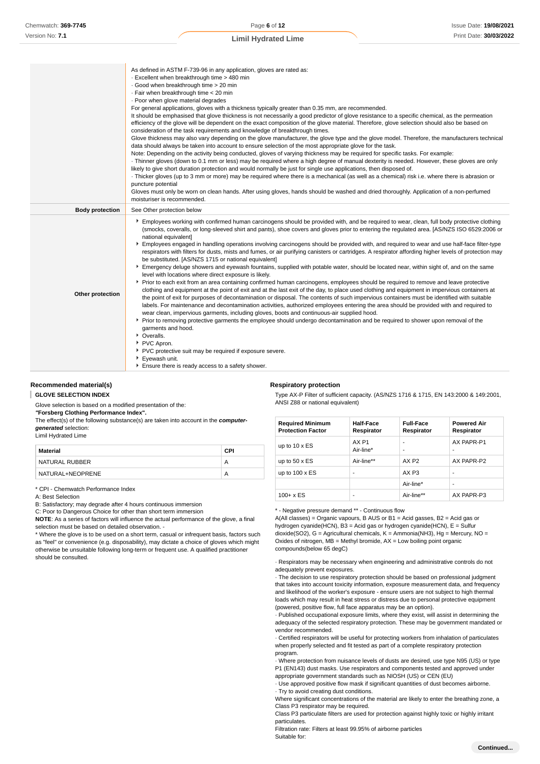As defined in ASTM F-739-96 in any application, gloves are rated as:

|                        | - Excellent when breakthrough time > 480 min<br>Good when breakthrough time > 20 min<br>· Fair when breakthrough time < 20 min<br>· Poor when glove material degrades<br>For general applications, gloves with a thickness typically greater than 0.35 mm, are recommended.<br>It should be emphasised that glove thickness is not necessarily a good predictor of glove resistance to a specific chemical, as the permeation<br>efficiency of the glove will be dependent on the exact composition of the glove material. Therefore, glove selection should also be based on<br>consideration of the task requirements and knowledge of breakthrough times.<br>Glove thickness may also vary depending on the glove manufacturer, the glove type and the glove model. Therefore, the manufacturers technical<br>data should always be taken into account to ensure selection of the most appropriate glove for the task.<br>Note: Depending on the activity being conducted, gloves of varying thickness may be required for specific tasks. For example:<br>Thinner gloves (down to 0.1 mm or less) may be required where a high degree of manual dexterity is needed. However, these gloves are only<br>likely to give short duration protection and would normally be just for single use applications, then disposed of.                                                                                                                                                                                                                                                                                                                                                                                                                                                                                                                                                               |
|------------------------|---------------------------------------------------------------------------------------------------------------------------------------------------------------------------------------------------------------------------------------------------------------------------------------------------------------------------------------------------------------------------------------------------------------------------------------------------------------------------------------------------------------------------------------------------------------------------------------------------------------------------------------------------------------------------------------------------------------------------------------------------------------------------------------------------------------------------------------------------------------------------------------------------------------------------------------------------------------------------------------------------------------------------------------------------------------------------------------------------------------------------------------------------------------------------------------------------------------------------------------------------------------------------------------------------------------------------------------------------------------------------------------------------------------------------------------------------------------------------------------------------------------------------------------------------------------------------------------------------------------------------------------------------------------------------------------------------------------------------------------------------------------------------------------------------------------------------------------------------------------------------------------------|
|                        | Thicker gloves (up to 3 mm or more) may be required where there is a mechanical (as well as a chemical) risk i.e. where there is abrasion or<br>puncture potential<br>Gloves must only be worn on clean hands. After using gloves, hands should be washed and dried thoroughly. Application of a non-perfumed<br>moisturiser is recommended.                                                                                                                                                                                                                                                                                                                                                                                                                                                                                                                                                                                                                                                                                                                                                                                                                                                                                                                                                                                                                                                                                                                                                                                                                                                                                                                                                                                                                                                                                                                                                |
| <b>Body protection</b> | See Other protection below                                                                                                                                                                                                                                                                                                                                                                                                                                                                                                                                                                                                                                                                                                                                                                                                                                                                                                                                                                                                                                                                                                                                                                                                                                                                                                                                                                                                                                                                                                                                                                                                                                                                                                                                                                                                                                                                  |
| Other protection       | Employees working with confirmed human carcinogens should be provided with, and be required to wear, clean, full body protective clothing<br>(smocks, coveralls, or long-sleeved shirt and pants), shoe covers and gloves prior to entering the regulated area. [AS/NZS ISO 6529:2006 or<br>national equivalent]<br>Employees engaged in handling operations involving carcinogens should be provided with, and required to wear and use half-face filter-type<br>respirators with filters for dusts, mists and fumes, or air purifying canisters or cartridges. A respirator affording higher levels of protection may<br>be substituted. [AS/NZS 1715 or national equivalent]<br>Emergency deluge showers and eyewash fountains, supplied with potable water, should be located near, within sight of, and on the same<br>level with locations where direct exposure is likely.<br>▶ Prior to each exit from an area containing confirmed human carcinogens, employees should be required to remove and leave protective<br>clothing and equipment at the point of exit and at the last exit of the day, to place used clothing and equipment in impervious containers at<br>the point of exit for purposes of decontamination or disposal. The contents of such impervious containers must be identified with suitable<br>labels. For maintenance and decontamination activities, authorized employees entering the area should be provided with and required to<br>wear clean, impervious garments, including gloves, boots and continuous-air supplied hood.<br>▶ Prior to removing protective garments the employee should undergo decontamination and be required to shower upon removal of the<br>garments and hood.<br>• Overalls.<br>PVC Apron.<br>▶ PVC protective suit may be required if exposure severe.<br>Eyewash unit.<br>Ensure there is ready access to a safety shower. |

### **Recommended material(s)**

J. **GLOVE SELECTION INDEX**

Glove selection is based on a modified presentation of the:

**"Forsberg Clothing Performance Index".**

The effect(s) of the following substance(s) are taken into account in the **computergenerated** selection:

Limil Hydrated Lime

| Material         | CPI |
|------------------|-----|
| NATURAL RUBBER   |     |
| NATURAL+NEOPRENE |     |

\* CPI - Chemwatch Performance Index

A: Best Selection

B: Satisfactory; may degrade after 4 hours continuous immersion

C: Poor to Dangerous Choice for other than short term immersion

**NOTE**: As a series of factors will influence the actual performance of the glove, a final selection must be based on detailed observation. -

\* Where the glove is to be used on a short term, casual or infrequent basis, factors such as "feel" or convenience (e.g. disposability), may dictate a choice of gloves which might otherwise be unsuitable following long-term or frequent use. A qualified practitioner should be consulted.

#### **Respiratory protection**

Type AX-P Filter of sufficient capacity. (AS/NZS 1716 & 1715, EN 143:2000 & 149:2001, ANSI Z88 or national equivalent)

| <b>Required Minimum</b><br><b>Protection Factor</b> | <b>Half-Face</b><br>Respirator | <b>Full-Face</b><br>Respirator | <b>Powered Air</b><br>Respirator |
|-----------------------------------------------------|--------------------------------|--------------------------------|----------------------------------|
| up to $10 \times ES$                                | AX <sub>P1</sub><br>Air-line*  | ۰                              | AX PAPR-P1<br>۰                  |
| up to $50 \times ES$                                | Air-line**                     | AX P2                          | AX PAPR-P2                       |
| up to $100 \times ES$                               |                                | AX <sub>P3</sub>               | ۰                                |
|                                                     |                                | Air-line*                      | ۰                                |
| $100 + x ES$                                        |                                | Air-line**                     | AX PAPR-P3                       |

\* - Negative pressure demand \*\* - Continuous flow

A(All classes) = Organic vapours, B AUS or B1 = Acid gasses, B2 = Acid gas or hydrogen cyanide(HCN), B3 = Acid gas or hydrogen cyanide(HCN), E = Sulfur dioxide(SO2), G = Agricultural chemicals, K = Ammonia(NH3), Hg = Mercury, NO = Oxides of nitrogen,  $MB = M$ ethyl bromide,  $AX = Low$  boiling point organic compounds(below 65 degC)

· Respirators may be necessary when engineering and administrative controls do not adequately prevent exposures.

· The decision to use respiratory protection should be based on professional judgment that takes into account toxicity information, exposure measurement data, and frequency and likelihood of the worker's exposure - ensure users are not subject to high thermal loads which may result in heat stress or distress due to personal protective equipment (powered, positive flow, full face apparatus may be an option).

· Published occupational exposure limits, where they exist, will assist in determining the adequacy of the selected respiratory protection. These may be government mandated or vendor recommended.

· Certified respirators will be useful for protecting workers from inhalation of particulates when properly selected and fit tested as part of a complete respiratory protection program.

· Where protection from nuisance levels of dusts are desired, use type N95 (US) or type P1 (EN143) dust masks. Use respirators and components tested and approved under appropriate government standards such as NIOSH (US) or CEN (EU)

· Use approved positive flow mask if significant quantities of dust becomes airborne. · Try to avoid creating dust conditions.

Where significant concentrations of the material are likely to enter the breathing zone, a

Class P3 respirator may be required. Class P3 particulate filters are used for protection against highly toxic or highly irritant

particulates. Filtration rate: Filters at least 99.95% of airborne particles

Suitable for: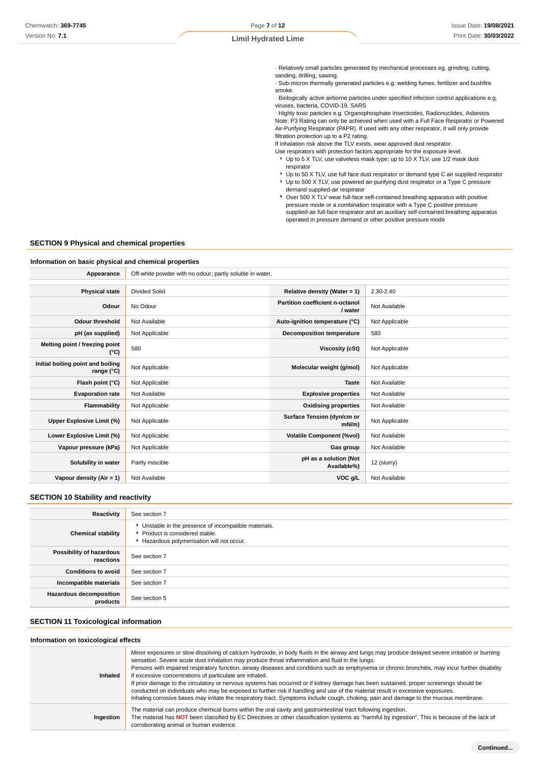· Relatively small particles generated by mechanical processes eg. grinding, cutting, sanding, drilling, sawing.

· Sub-micron thermally generated particles e.g. welding fumes, fertilizer and bushfire smoke.

· Biologically active airborne particles under specified infection control applications e.g. viruses, bacteria, COVID-19, SARS

· Highly toxic particles e.g. Organophosphate Insecticides, Radionuclides, Asbestos Note: P3 Rating can only be achieved when used with a Full Face Respirator or Powered Air-Purifying Respirator (PAPR). If used with any other respirator, it will only provide filtration protection up to a P2 rating.

If inhalation risk above the TLV exists, wear approved dust respirator.

- Use respirators with protection factors appropriate for the exposure level. ▶ Up to 5 X TLV, use valveless mask type; up to 10 X TLV, use 1/2 mask dust respirator
- ▶ Up to 50 X TLV, use full face dust respirator or demand type C air supplied respirator Up to 500 X TLV, use powered air-purifying dust respirator or a Type C pressure
- demand supplied-air respirator ▶ Over 500 X TLV wear full-face self-contained breathing apparatus with positive pressure mode or a combination respirator with a Type C positive pressure supplied-air full-face respirator and an auxiliary self-contained breathing apparatus operated in pressure demand or other positive pressure mode

### **SECTION 9 Physical and chemical properties**

#### **Information on basic physical and chemical properties**

| Off-white powder with no odour; partly soluble in water. |                                            |                |
|----------------------------------------------------------|--------------------------------------------|----------------|
|                                                          |                                            |                |
| Divided Solid                                            | Relative density (Water = 1)               | 2.30-2.40      |
| No Odour                                                 | Partition coefficient n-octanol<br>/ water | Not Available  |
| Not Available                                            | Auto-ignition temperature (°C)             | Not Applicable |
| Not Applicable                                           | <b>Decomposition temperature</b>           | 580            |
| 580                                                      | <b>Viscosity (cSt)</b>                     | Not Applicable |
| Not Applicable                                           | Molecular weight (g/mol)                   | Not Applicable |
| Not Applicable                                           | <b>Taste</b>                               | Not Available  |
| Not Available                                            | <b>Explosive properties</b>                | Not Available  |
| Not Applicable                                           | <b>Oxidising properties</b>                | Not Available  |
| Not Applicable                                           | Surface Tension (dyn/cm or<br>$mN/m$ )     | Not Applicable |
| Not Applicable                                           | <b>Volatile Component (%vol)</b>           | Not Available  |
| Not Applicable                                           | Gas group                                  | Not Available  |
| Partly miscible                                          | pH as a solution (Not<br>Available%)       | 12 (slurry)    |
| Not Available                                            | VOC g/L                                    | Not Available  |
|                                                          |                                            |                |

#### **SECTION 10 Stability and reactivity**

| Reactivity                                 | See section 7                                                                                                                    |
|--------------------------------------------|----------------------------------------------------------------------------------------------------------------------------------|
| <b>Chemical stability</b>                  | Unstable in the presence of incompatible materials.<br>Product is considered stable.<br>Hazardous polymerisation will not occur. |
| Possibility of hazardous<br>reactions      | See section 7                                                                                                                    |
| <b>Conditions to avoid</b>                 | See section 7                                                                                                                    |
| Incompatible materials                     | See section 7                                                                                                                    |
| <b>Hazardous decomposition</b><br>products | See section 5                                                                                                                    |

### **SECTION 11 Toxicological information**

#### **Information on toxicological effects**

| Ingestion | If prior damage to the circulatory or nervous systems has occurred or if kidney damage has been sustained, proper screenings should be<br>conducted on individuals who may be exposed to further risk if handling and use of the material result in excessive exposures.<br>Inhaling corrosive bases may irritate the respiratory tract. Symptoms include cough, choking, pain and damage to the mucous membrane.<br>The material can produce chemical burns within the oral cavity and gastrointestinal tract following ingestion.<br>The material has NOT been classified by EC Directives or other classification systems as "harmful by ingestion". This is because of the lack of<br>corroborating animal or human evidence. |
|-----------|-----------------------------------------------------------------------------------------------------------------------------------------------------------------------------------------------------------------------------------------------------------------------------------------------------------------------------------------------------------------------------------------------------------------------------------------------------------------------------------------------------------------------------------------------------------------------------------------------------------------------------------------------------------------------------------------------------------------------------------|
| Inhaled   | Minor exposures or slow dissolving of calcium hydroxide, in body fluids in the airway and lungs may produce delayed severe irritation or burning<br>sensation. Severe acute dust inhalation may produce throat inflammation and fluid in the lungs.<br>Persons with impaired respiratory function, airway diseases and conditions such as emphysema or chronic bronchitis, may incur further disability<br>if excessive concentrations of particulate are inhaled.                                                                                                                                                                                                                                                                |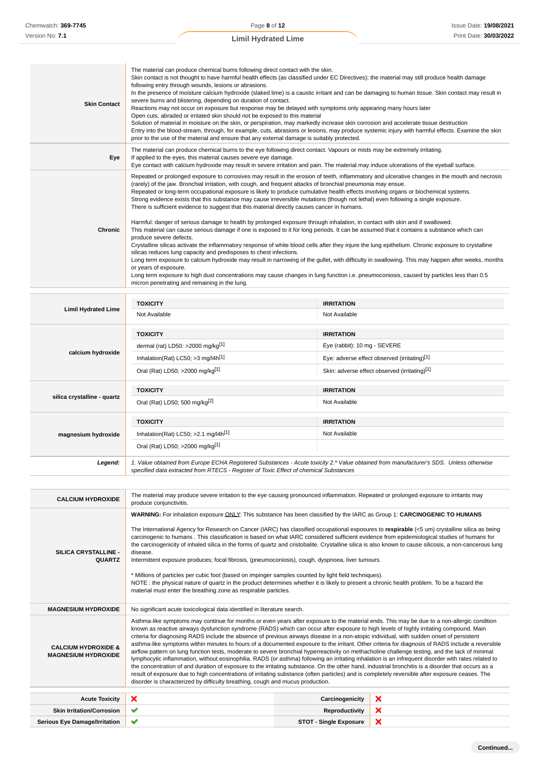| <b>Skin Contact</b>                                          | The material can produce chemical burns following direct contact with the skin.<br>Skin contact is not thought to have harmful health effects (as classified under EC Directives); the material may still produce health damage<br>following entry through wounds, lesions or abrasions.<br>In the presence of moisture calcium hydroxide (slaked lime) is a caustic irritant and can be damaging to human tissue. Skin contact may result in<br>severe burns and blistering, depending on duration of contact.<br>Reactions may not occur on exposure but response may be delayed with symptoms only appearing many hours later<br>Open cuts, abraded or irritated skin should not be exposed to this material<br>Solution of material in moisture on the skin, or perspiration, may markedly increase skin corrosion and accelerate tissue destruction<br>Entry into the blood-stream, through, for example, cuts, abrasions or lesions, may produce systemic injury with harmful effects. Examine the skin<br>prior to the use of the material and ensure that any external damage is suitably protected.                                                                                                                                                                                                                                                                                                                                                                                                                                               |                                    |                                               |  |
|--------------------------------------------------------------|------------------------------------------------------------------------------------------------------------------------------------------------------------------------------------------------------------------------------------------------------------------------------------------------------------------------------------------------------------------------------------------------------------------------------------------------------------------------------------------------------------------------------------------------------------------------------------------------------------------------------------------------------------------------------------------------------------------------------------------------------------------------------------------------------------------------------------------------------------------------------------------------------------------------------------------------------------------------------------------------------------------------------------------------------------------------------------------------------------------------------------------------------------------------------------------------------------------------------------------------------------------------------------------------------------------------------------------------------------------------------------------------------------------------------------------------------------------------------------------------------------------------------------------------------------|------------------------------------|-----------------------------------------------|--|
| Eye                                                          | The material can produce chemical burns to the eye following direct contact. Vapours or mists may be extremely irritating.<br>If applied to the eyes, this material causes severe eye damage.<br>Eye contact with calcium hydroxide may result in severe irritation and pain. The material may induce ulcerations of the eyeball surface.                                                                                                                                                                                                                                                                                                                                                                                                                                                                                                                                                                                                                                                                                                                                                                                                                                                                                                                                                                                                                                                                                                                                                                                                                  |                                    |                                               |  |
| Chronic                                                      | Repeated or prolonged exposure to corrosives may result in the erosion of teeth, inflammatory and ulcerative changes in the mouth and necrosis<br>(rarely) of the jaw. Bronchial irritation, with cough, and frequent attacks of bronchial pneumonia may ensue.<br>Repeated or long-term occupational exposure is likely to produce cumulative health effects involving organs or biochemical systems.<br>Strong evidence exists that this substance may cause irreversible mutations (though not lethal) even following a single exposure.<br>There is sufficient evidence to suggest that this material directly causes cancer in humans.<br>Harmful: danger of serious damage to health by prolonged exposure through inhalation, in contact with skin and if swallowed.<br>This material can cause serious damage if one is exposed to it for long periods. It can be assumed that it contains a substance which can<br>produce severe defects.<br>Crystalline silicas activate the inflammatory response of white blood cells after they injure the lung epithelium. Chronic exposure to crystalline<br>silicas reduces lung capacity and predisposes to chest infections.<br>Long term exposure to calcium hydroxide may result in narrowing of the gullet, with difficulty in swallowing. This may happen after weeks, months<br>or years of exposure.<br>Long term exposure to high dust concentrations may cause changes in lung function i.e. pneumoconiosis, caused by particles less than 0.5<br>micron penetrating and remaining in the lung. |                                    |                                               |  |
|                                                              | <b>TOXICITY</b>                                                                                                                                                                                                                                                                                                                                                                                                                                                                                                                                                                                                                                                                                                                                                                                                                                                                                                                                                                                                                                                                                                                                                                                                                                                                                                                                                                                                                                                                                                                                            | <b>IRRITATION</b>                  |                                               |  |
| <b>Limil Hydrated Lime</b>                                   | Not Available                                                                                                                                                                                                                                                                                                                                                                                                                                                                                                                                                                                                                                                                                                                                                                                                                                                                                                                                                                                                                                                                                                                                                                                                                                                                                                                                                                                                                                                                                                                                              | Not Available                      |                                               |  |
|                                                              | <b>TOXICITY</b>                                                                                                                                                                                                                                                                                                                                                                                                                                                                                                                                                                                                                                                                                                                                                                                                                                                                                                                                                                                                                                                                                                                                                                                                                                                                                                                                                                                                                                                                                                                                            | <b>IRRITATION</b>                  |                                               |  |
|                                                              | dermal (rat) LD50: >2000 mg/kg $[1]$                                                                                                                                                                                                                                                                                                                                                                                                                                                                                                                                                                                                                                                                                                                                                                                                                                                                                                                                                                                                                                                                                                                                                                                                                                                                                                                                                                                                                                                                                                                       | Eye (rabbit): 10 mg - SEVERE       |                                               |  |
| calcium hydroxide                                            | Inhalation(Rat) LC50; $>3$ mg/l4h <sup>[1]</sup><br>Eye: adverse effect observed (irritating)[1]                                                                                                                                                                                                                                                                                                                                                                                                                                                                                                                                                                                                                                                                                                                                                                                                                                                                                                                                                                                                                                                                                                                                                                                                                                                                                                                                                                                                                                                           |                                    |                                               |  |
|                                                              | Oral (Rat) LD50; >2000 mg/kg <sup>[1]</sup>                                                                                                                                                                                                                                                                                                                                                                                                                                                                                                                                                                                                                                                                                                                                                                                                                                                                                                                                                                                                                                                                                                                                                                                                                                                                                                                                                                                                                                                                                                                |                                    | Skin: adverse effect observed (irritating)[1] |  |
|                                                              |                                                                                                                                                                                                                                                                                                                                                                                                                                                                                                                                                                                                                                                                                                                                                                                                                                                                                                                                                                                                                                                                                                                                                                                                                                                                                                                                                                                                                                                                                                                                                            |                                    |                                               |  |
| silica crystalline - quartz                                  | <b>TOXICITY</b><br>Oral (Rat) LD50; 500 mg/kg <sup>[2]</sup>                                                                                                                                                                                                                                                                                                                                                                                                                                                                                                                                                                                                                                                                                                                                                                                                                                                                                                                                                                                                                                                                                                                                                                                                                                                                                                                                                                                                                                                                                               | <b>IRRITATION</b><br>Not Available |                                               |  |
| magnesium hydroxide                                          | <b>TOXICITY</b><br><b>IRRITATION</b><br>Inhalation(Rat) LC50; $>2.1$ mg/l4h <sup>[1]</sup><br>Not Available<br>Oral (Rat) LD50; >2000 mg/kg <sup>[1]</sup>                                                                                                                                                                                                                                                                                                                                                                                                                                                                                                                                                                                                                                                                                                                                                                                                                                                                                                                                                                                                                                                                                                                                                                                                                                                                                                                                                                                                 |                                    |                                               |  |
| Legend:                                                      | 1. Value obtained from Europe ECHA Registered Substances - Acute toxicity 2.* Value obtained from manufacturer's SDS. Unless otherwise<br>specified data extracted from RTECS - Register of Toxic Effect of chemical Substances                                                                                                                                                                                                                                                                                                                                                                                                                                                                                                                                                                                                                                                                                                                                                                                                                                                                                                                                                                                                                                                                                                                                                                                                                                                                                                                            |                                    |                                               |  |
| <b>CALCIUM HYDROXIDE</b>                                     | The material may produce severe irritation to the eye causing pronounced inflammation. Repeated or prolonged exposure to irritants may<br>produce conjunctivitis.                                                                                                                                                                                                                                                                                                                                                                                                                                                                                                                                                                                                                                                                                                                                                                                                                                                                                                                                                                                                                                                                                                                                                                                                                                                                                                                                                                                          |                                    |                                               |  |
|                                                              | WARNING: For inhalation exposure ONLY: This substance has been classified by the IARC as Group 1: CARCINOGENIC TO HUMANS                                                                                                                                                                                                                                                                                                                                                                                                                                                                                                                                                                                                                                                                                                                                                                                                                                                                                                                                                                                                                                                                                                                                                                                                                                                                                                                                                                                                                                   |                                    |                                               |  |
| SILICA CRYSTALLINE -<br><b>QUARTZ</b>                        | The International Agency for Research on Cancer (IARC) has classified occupational exposures to respirable (<5 um) crystalline silica as being<br>carcinogenic to humans. This classification is based on what IARC considered sufficient evidence from epidemiological studies of humans for<br>the carcinogenicity of inhaled silica in the forms of quartz and cristobalite. Crystalline silica is also known to cause silicosis, a non-cancerous lung<br>disease.<br>Intermittent exposure produces; focal fibrosis, (pneumoconiosis), cough, dyspnoea, liver tumours.<br>* Millions of particles per cubic foot (based on impinger samples counted by light field techniques).<br>NOTE: the physical nature of quartz in the product determines whether it is likely to present a chronic health problem. To be a hazard the<br>material must enter the breathing zone as respirable particles.                                                                                                                                                                                                                                                                                                                                                                                                                                                                                                                                                                                                                                                       |                                    |                                               |  |
| <b>MAGNESIUM HYDROXIDE</b>                                   | No significant acute toxicological data identified in literature search.                                                                                                                                                                                                                                                                                                                                                                                                                                                                                                                                                                                                                                                                                                                                                                                                                                                                                                                                                                                                                                                                                                                                                                                                                                                                                                                                                                                                                                                                                   |                                    |                                               |  |
| <b>CALCIUM HYDROXIDE &amp;</b><br><b>MAGNESIUM HYDROXIDE</b> | Asthma-like symptoms may continue for months or even years after exposure to the material ends. This may be due to a non-allergic condition<br>known as reactive airways dysfunction syndrome (RADS) which can occur after exposure to high levels of highly irritating compound. Main<br>criteria for diagnosing RADS include the absence of previous airways disease in a non-atopic individual, with sudden onset of persistent<br>asthma-like symptoms within minutes to hours of a documented exposure to the irritant. Other criteria for diagnosis of RADS include a reversible<br>airflow pattern on lung function tests, moderate to severe bronchial hyperreactivity on methacholine challenge testing, and the lack of minimal<br>lymphocytic inflammation, without eosinophilia. RADS (or asthma) following an irritating inhalation is an infrequent disorder with rates related to<br>the concentration of and duration of exposure to the irritating substance. On the other hand, industrial bronchitis is a disorder that occurs as a<br>result of exposure due to high concentrations of irritating substance (often particles) and is completely reversible after exposure ceases. The<br>disorder is characterized by difficulty breathing, cough and mucus production.                                                                                                                                                                                                                                                                |                                    |                                               |  |
| <b>Acute Toxicity</b>                                        | ×                                                                                                                                                                                                                                                                                                                                                                                                                                                                                                                                                                                                                                                                                                                                                                                                                                                                                                                                                                                                                                                                                                                                                                                                                                                                                                                                                                                                                                                                                                                                                          | Carcinogenicity                    |                                               |  |

**Skin Irritation/Corrosion Reproductivity** Serious Eye Damage/Irritation **V**   $\overline{\mathbf{x}}$ ×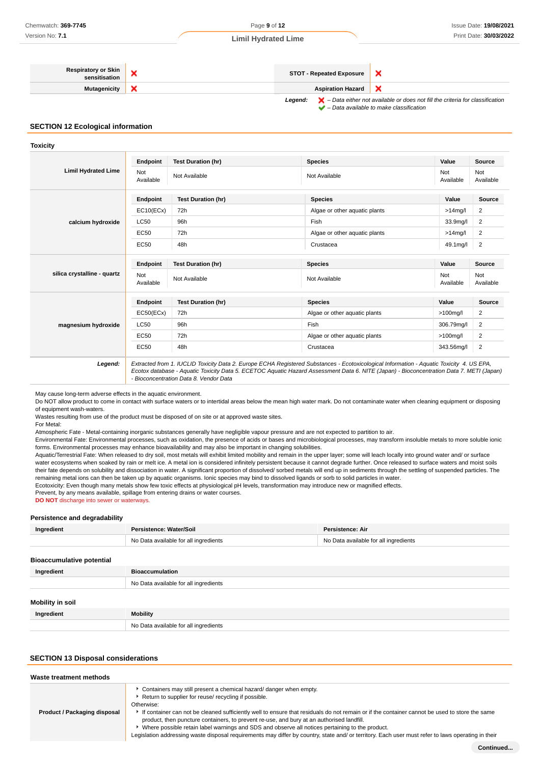#### **Respiratory or Skin** atory or Skin **X**<br>sensitisation **X**  $\boldsymbol{\mathsf{x}}$ **Mutagenicity Aspiration Hazard** × Legend:  $\blacktriangleright$  - Data either not available or does not fill the criteria for classification – Data available to make classification

**SECTION 12 Ecological information**

**Toxicity**

|                             | <b>Endpoint</b>  | <b>Test Duration (hr)</b> | <b>Species</b>                | Value            | <b>Source</b>    |
|-----------------------------|------------------|---------------------------|-------------------------------|------------------|------------------|
| <b>Limil Hydrated Lime</b>  | Not<br>Available | Not Available             | Not Available                 | Not<br>Available | Not<br>Available |
|                             | <b>Endpoint</b>  | <b>Test Duration (hr)</b> | <b>Species</b>                | Value            | Source           |
|                             | EC10(ECx)        | 72h                       | Algae or other aquatic plants | $>14$ mg/l       | 2                |
| calcium hydroxide           | <b>LC50</b>      | 96h                       | Fish                          | 33.9mg/l         | 2                |
|                             | <b>EC50</b>      | 72h                       | Algae or other aquatic plants | $>14$ mg/l       | 2                |
|                             | <b>EC50</b>      | 48h                       | Crustacea                     | 49.1mg/l         | 2                |
| silica crystalline - quartz | <b>Endpoint</b>  | <b>Test Duration (hr)</b> | <b>Species</b>                | Value            | Source           |
|                             | Not<br>Available | Not Available             | Not Available                 | Not<br>Available | Not<br>Available |
|                             | <b>Endpoint</b>  | <b>Test Duration (hr)</b> | <b>Species</b>                | Value            | Source           |
|                             | EC50(ECx)        | 72h                       | Algae or other aquatic plants | $>100$ mg/l      | $\overline{2}$   |
| magnesium hydroxide         | <b>LC50</b>      | 96h                       | Fish                          | 306.79mg/l       | $\overline{2}$   |
|                             | <b>EC50</b>      | 72h                       | Algae or other aquatic plants | $>100$ mg/l      | 2                |
|                             | <b>EC50</b>      | 48h                       | Crustacea                     | 343.56mg/l       | 2                |

May cause long-term adverse effects in the aquatic environment.

Do NOT allow product to come in contact with surface waters or to intertidal areas below the mean high water mark. Do not contaminate water when cleaning equipment or disposing of equipment wash-waters.

Wastes resulting from use of the product must be disposed of on site or at approved waste sites.

- Bioconcentration Data 8. Vendor Data

For Metal:

Atmospheric Fate - Metal-containing inorganic substances generally have negligible vapour pressure and are not expected to partition to air.

Environmental Fate: Environmental processes, such as oxidation, the presence of acids or bases and microbiological processes, may transform insoluble metals to more soluble ionic forms. Environmental processes may enhance bioavailability and may also be important in changing solubilities.

Aquatic/Terrestrial Fate: When released to dry soil, most metals will exhibit limited mobility and remain in the upper layer; some will leach locally into ground water and/ or surface water ecosystems when soaked by rain or melt ice. A metal ion is considered infinitely persistent because it cannot degrade further. Once released to surface waters and moist soils their fate depends on solubility and dissociation in water. A significant proportion of dissolved/ sorbed metals will end up in sediments through the settling of suspended particles. The remaining metal ions can then be taken up by aquatic organisms. Ionic species may bind to dissolved ligands or sorb to solid particles in water.

Ecotoxicity: Even though many metals show few toxic effects at physiological pH levels, transformation may introduce new or magnified effects.

Prevent, by any means available, spillage from entering drains or water courses.

**DO NOT** discharge into sewer or waterways.

#### **Persistence and degradability**

| Ingredient                       | Persistence: Water/Soil               | Persistence: Air                      |
|----------------------------------|---------------------------------------|---------------------------------------|
|                                  | No Data available for all ingredients | No Data available for all ingredients |
| <b>Bioaccumulative potential</b> |                                       |                                       |

| Ingredient              | <b>Bioaccumulation</b>                |
|-------------------------|---------------------------------------|
|                         | No Data available for all ingredients |
| <b>Mobility in soil</b> |                                       |
| Ingredient              | Mobility                              |
|                         | No Data available for all ingredients |

### **SECTION 13 Disposal considerations**

| Waste treatment methods      |                                                                                                                                                                                                                                                                                                                                                                                                                                                                                                                                                                                                                                                 |
|------------------------------|-------------------------------------------------------------------------------------------------------------------------------------------------------------------------------------------------------------------------------------------------------------------------------------------------------------------------------------------------------------------------------------------------------------------------------------------------------------------------------------------------------------------------------------------------------------------------------------------------------------------------------------------------|
| Product / Packaging disposal | Containers may still present a chemical hazard/ danger when empty.<br>Return to supplier for reuse/ recycling if possible.<br>Otherwise:<br>If container can not be cleaned sufficiently well to ensure that residuals do not remain or if the container cannot be used to store the same<br>product, then puncture containers, to prevent re-use, and bury at an authorised landfill.<br>Where possible retain label warnings and SDS and observe all notices pertaining to the product.<br>Legislation addressing waste disposal requirements may differ by country, state and/ or territory. Each user must refer to laws operating in their |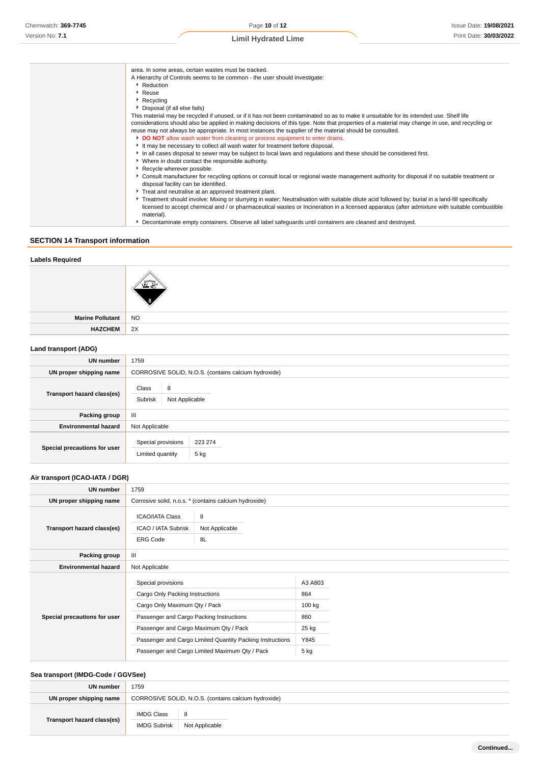| area. In some areas, certain wastes must be tracked.                                                                                               |
|----------------------------------------------------------------------------------------------------------------------------------------------------|
| A Hierarchy of Controls seems to be common - the user should investigate:                                                                          |
| ▶ Reduction                                                                                                                                        |
| ▶ Reuse                                                                                                                                            |
| ▶ Recycling                                                                                                                                        |
| Disposal (if all else fails)                                                                                                                       |
| This material may be recycled if unused, or if it has not been contaminated so as to make it unsuitable for its intended use. Shelf life           |
| considerations should also be applied in making decisions of this type. Note that properties of a material may change in use, and recycling or     |
|                                                                                                                                                    |
| reuse may not always be appropriate. In most instances the supplier of the material should be consulted.                                           |
| DO NOT allow wash water from cleaning or process equipment to enter drains.                                                                        |
| It may be necessary to collect all wash water for treatment before disposal.                                                                       |
| In all cases disposal to sewer may be subject to local laws and regulations and these should be considered first.                                  |
| • Where in doubt contact the responsible authority.                                                                                                |
| Recycle wherever possible.                                                                                                                         |
| ▶ Consult manufacturer for recycling options or consult local or regional waste management authority for disposal if no suitable treatment or      |
| disposal facility can be identified.                                                                                                               |
| Treat and neutralise at an approved treatment plant.                                                                                               |
| ▶ Treatment should involve: Mixing or slurrying in water; Neutralisation with suitable dilute acid followed by: burial in a land-fill specifically |
|                                                                                                                                                    |
| licensed to accept chemical and / or pharmaceutical wastes or Incineration in a licensed apparatus (after admixture with suitable combustible      |
| material).                                                                                                                                         |
| Decontaminate empty containers. Observe all label safeguards until containers are cleaned and destroyed.                                           |

# **SECTION 14 Transport information**

### **Labels Required**



**Marine Pollutant** NO **HAZCHEM** 2X

### **Land transport (ADG)**

| <b>UN number</b>             | 1759                                                      |  |  |
|------------------------------|-----------------------------------------------------------|--|--|
| UN proper shipping name      | CORROSIVE SOLID, N.O.S. (contains calcium hydroxide)      |  |  |
| Transport hazard class(es)   | Class<br>8<br>Subrisk<br>Not Applicable                   |  |  |
| <b>Packing group</b>         | $\mathbf{III}$                                            |  |  |
| <b>Environmental hazard</b>  | Not Applicable                                            |  |  |
| Special precautions for user | Special provisions<br>223 274<br>Limited quantity<br>5 kg |  |  |

### **Air transport (ICAO-IATA / DGR)**

| UN number                    | 1759                                                             |                                                        |                |  |
|------------------------------|------------------------------------------------------------------|--------------------------------------------------------|----------------|--|
| UN proper shipping name      |                                                                  | Corrosive solid, n.o.s. * (contains calcium hydroxide) |                |  |
| Transport hazard class(es)   | <b>ICAO/IATA Class</b><br>ICAO / IATA Subrisk<br><b>ERG Code</b> | 8<br>Not Applicable<br>8L                              |                |  |
| Packing group                | Ш                                                                |                                                        |                |  |
| <b>Environmental hazard</b>  | Not Applicable                                                   |                                                        |                |  |
|                              | Special provisions<br>Cargo Only Packing Instructions            |                                                        | A3 A803<br>864 |  |
| Special precautions for user | Cargo Only Maximum Qty / Pack                                    |                                                        | 100 kg         |  |
|                              | Passenger and Cargo Packing Instructions                         |                                                        | 860            |  |
|                              | Passenger and Cargo Maximum Qty / Pack                           |                                                        | 25 kg          |  |
|                              | Passenger and Cargo Limited Quantity Packing Instructions        |                                                        | Y845           |  |
|                              | Passenger and Cargo Limited Maximum Qty / Pack                   |                                                        | 5 kg           |  |

### **Sea transport (IMDG-Code / GGVSee)**

| UN number                  | 1759                                                 |                |  |
|----------------------------|------------------------------------------------------|----------------|--|
| UN proper shipping name    | CORROSIVE SOLID, N.O.S. (contains calcium hydroxide) |                |  |
|                            | <b>IMDG Class</b>                                    | 8              |  |
| Transport hazard class(es) | <b>IMDG Subrisk</b>                                  | Not Applicable |  |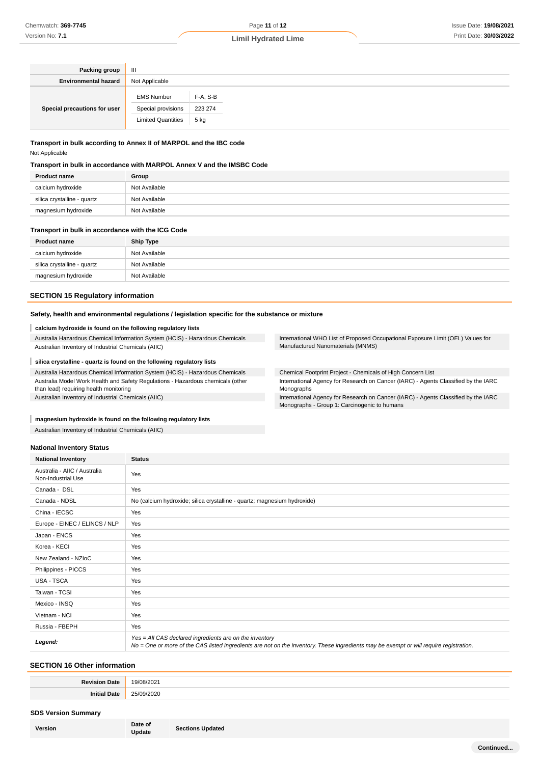| Packing group                | Ш                         |          |  |  |  |
|------------------------------|---------------------------|----------|--|--|--|
| <b>Environmental hazard</b>  | Not Applicable            |          |  |  |  |
| Special precautions for user | <b>EMS Number</b>         | F-A, S-B |  |  |  |
|                              | Special provisions        | 223 274  |  |  |  |
|                              | <b>Limited Quantities</b> | 5 kg     |  |  |  |

### **Transport in bulk according to Annex II of MARPOL and the IBC code** Not Applicable

#### **Transport in bulk in accordance with MARPOL Annex V and the IMSBC Code**

| <b>Product name</b>         | Group         |
|-----------------------------|---------------|
| calcium hydroxide           | Not Available |
| silica crystalline - quartz | Not Available |
| magnesium hydroxide         | Not Available |

#### **Transport in bulk in accordance with the ICG Code**

| <b>Product name</b>         | <b>Ship Type</b> |
|-----------------------------|------------------|
| calcium hydroxide           | Not Available    |
| silica crystalline - quartz | Not Available    |
| magnesium hydroxide         | Not Available    |

### **SECTION 15 Regulatory information**

#### **Safety, health and environmental regulations / legislation specific for the substance or mixture**

#### ı **calcium hydroxide is found on the following regulatory lists**

Australia Hazardous Chemical Information System (HCIS) - Hazardous Chemicals Australian Inventory of Industrial Chemicals (AIIC)

#### I **silica crystalline - quartz is found on the following regulatory lists**

Australia Hazardous Chemical Information System (HCIS) - Hazardous Chemicals Australia Model Work Health and Safety Regulations - Hazardous chemicals (other than lead) requiring health monitoring Australian Inventory of Industrial Chemicals (AIIC)

#### **magnesium hydroxide is found on the following regulatory lists**

Australian Inventory of Industrial Chemicals (AIIC)

#### **National Inventory Status**

| <b>National Inventory</b>                          | <b>Status</b>                                                                                                                                                                                     |  |
|----------------------------------------------------|---------------------------------------------------------------------------------------------------------------------------------------------------------------------------------------------------|--|
| Australia - AIIC / Australia<br>Non-Industrial Use | Yes                                                                                                                                                                                               |  |
| Canada - DSL                                       | Yes                                                                                                                                                                                               |  |
| Canada - NDSL                                      | No (calcium hydroxide; silica crystalline - quartz; magnesium hydroxide)                                                                                                                          |  |
| China - IECSC                                      | Yes                                                                                                                                                                                               |  |
| Europe - EINEC / ELINCS / NLP                      | Yes                                                                                                                                                                                               |  |
| Japan - ENCS                                       | Yes                                                                                                                                                                                               |  |
| Korea - KECI                                       | Yes                                                                                                                                                                                               |  |
| New Zealand - NZIoC                                | Yes                                                                                                                                                                                               |  |
| Philippines - PICCS                                | Yes                                                                                                                                                                                               |  |
| USA - TSCA                                         | Yes                                                                                                                                                                                               |  |
| Taiwan - TCSI                                      | Yes                                                                                                                                                                                               |  |
| Mexico - INSQ                                      | Yes                                                                                                                                                                                               |  |
| Vietnam - NCI                                      | Yes                                                                                                                                                                                               |  |
| Russia - FBEPH                                     | Yes                                                                                                                                                                                               |  |
| Legend:                                            | Yes = All CAS declared ingredients are on the inventory<br>No = One or more of the CAS listed ingredients are not on the inventory. These ingredients may be exempt or will require registration. |  |

#### **SECTION 16 Other information**

| . |
|---|

#### **SDS Version Summary**

| Version | Date of  |
|---------|----------|
|         | Indation |

**Date of Sections Updated**<br>
Update

Manufactured Nanomaterials (MNMS)

International WHO List of Proposed Occupational Exposure Limit (OEL) Values for

Chemical Footprint Project - Chemicals of High Concern List

International Agency for Research on Cancer (IARC) - Agents Classified by the IARC Monographs

International Agency for Research on Cancer (IARC) - Agents Classified by the IARC Monographs - Group 1: Carcinogenic to humans